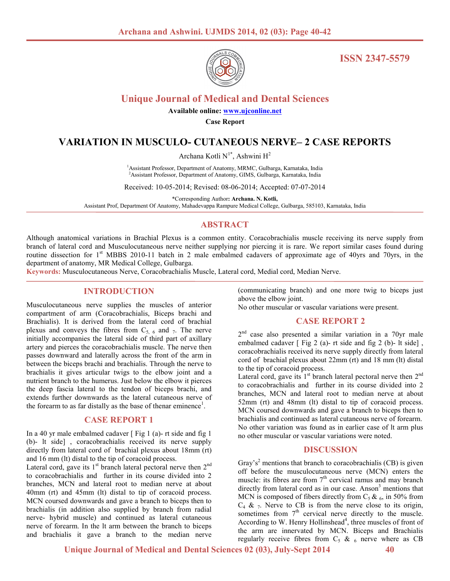

**ISSN 2347-5579**

# **Unique Journal of Medical and Dental Sciences**

**Available online: www.ujconline.net**

**Case Report** 

## **VARIATION IN MUSCULO- CUTANEOUS NERVE– 2 CASE REPORTS**

Archana Kotli N<sup>1\*</sup>, Ashwini H<sup>2</sup>

<sup>1</sup> Assistant Professor, Department of Anatomy, MRMC, Gulbarga, Karnataka, India <sup>2</sup>Assistant Professor, Department of Anatomy, GIMS, Gulbarga, Karnataka, India

Received: 10-05-2014; Revised: 08-06-2014; Accepted: 07-07-2014

\*Corresponding Author**: Archana. N. Kotli,** 

Assistant Prof, Department Of Anatomy, Mahadevappa Rampure Medical College, Gulbarga, 585103, Karnataka, India

### **ABSTRACT**

Although anatomical variations in Brachial Plexus is a common entity. Coracobrachialis muscle receiving its nerve supply from branch of lateral cord and Musculocutaneous nerve neither supplying nor piercing it is rare. We report similar cases found during routine dissection for 1<sup>st</sup> MBBS 2010-11 batch in 2 male embalmed cadavers of approximate age of 40yrs and 70yrs, in the department of anatomy, MR Medical College, Gulbarga.

**Keywords:** Musculocutaneous Nerve, Coracobrachialis Muscle, Lateral cord, Medial cord, Median Nerve.

#### **INTRODUCTION**

Musculocutaneous nerve supplies the muscles of anterior compartment of arm (Coracobrachialis, Biceps brachi and Brachialis). It is derived from the lateral cord of brachial plexus and conveys the fibres from  $C_{5, 6}$  and 7. The nerve initially accompanies the lateral side of third part of axillary artery and pierces the coracobrachialis muscle. The nerve then passes downward and laterally across the front of the arm in between the biceps brachi and brachialis. Through the nerve to brachialis it gives articular twigs to the elbow joint and a nutrient branch to the humerus. Just below the elbow it pierces the deep fascia lateral to the tendon of biceps brachi, and extends further downwards as the lateral cutaneous nerve of the forearm to as far distally as the base of thenar eminence<sup>1</sup>.

#### **CASE REPORT 1**

In a 40 yr male embalmed cadaver [ Fig 1 (a)- rt side and fig 1 (b)- lt side] , coracobrachialis received its nerve supply directly from lateral cord of brachial plexus about 18mm (rt) and 16 mm (lt) distal to the tip of coracoid process.

Lateral cord, gave its  $1<sup>st</sup>$  branch lateral pectoral nerve then  $2<sup>nd</sup>$ to coracobrachialis and further in its course divided into 2 branches, MCN and lateral root to median nerve at about 40mm (rt) and 45mm (lt) distal to tip of coracoid process. MCN coursed downwards and gave a branch to biceps then to brachialis (in addition also supplied by branch from radial nerve- hybrid muscle) and continued as lateral cutaneous nerve of forearm. In the lt arm between the branch to biceps and brachialis it gave a branch to the median nerve (communicating branch) and one more twig to biceps just above the elbow joint.

No other muscular or vascular variations were present.

#### **CASE REPORT 2**

2<sup>nd</sup> case also presented a similar variation in a 70yr male embalmed cadaver [ Fig 2 (a)- rt side and fig 2 (b)- lt side], coracobrachialis received its nerve supply directly from lateral cord of brachial plexus about 22mm (rt) and 18 mm (lt) distal to the tip of coracoid process.

Lateral cord, gave its  $1<sup>st</sup>$  branch lateral pectoral nerve then  $2<sup>nd</sup>$ to coracobrachialis and further in its course divided into 2 branches, MCN and lateral root to median nerve at about 52mm (rt) and 48mm (lt) distal to tip of coracoid process. MCN coursed downwards and gave a branch to biceps then to brachialis and continued as lateral cutaneous nerve of forearm. No other variation was found as in earlier case of lt arm plus no other muscular or vascular variations were noted.

#### **DISCUSSION**

Gray's<sup>2</sup> mentions that branch to coracobrachialis (CB) is given off before the musculocutaneous nerve (MCN) enters the muscle: its fibres are from  $7<sup>th</sup>$  cervical ramus and may branch directly from lateral cord as in our case. Anson<sup>3</sup> mentions that MCN is composed of fibers directly from  $C_5 \& 66$ , in 50% from  $C_4$  &  $_7$ . Nerve to CB is from the nerve close to its origin, sometimes from  $7<sup>th</sup>$  cervical nerve directly to the muscle. According to W. Henry Hollinshead<sup>4</sup>, three muscles of front of the arm are innervated by MCN. Biceps and Brachialis regularly receive fibres from  $C_5 \& 6$  nerve where as CB

 **Unique Journal of Medical and Dental Sciences 02 (03), July-Sept 2014****40**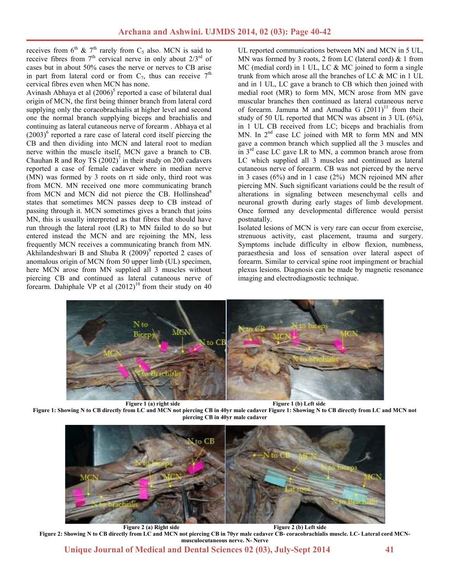receives from 6<sup>th</sup> & 7<sup>th</sup> rarely from C<sub>5</sub> also. MCN is said to receive fibres from  $7<sup>th</sup>$  cervical nerve in only about  $2/3<sup>rd</sup>$  of cases but in about 50% cases the nerve or nerves to CB arise in part from lateral cord or from  $C_7$ , thus can receive  $7<sup>th</sup>$ cervical fibres even when MCN has none.

Avinash Abhaya et al  $(2006)^5$  reported a case of bilateral dual origin of MCN, the first being thinner branch from lateral cord supplying only the coracobrachialis at higher level and second one the normal branch supplying biceps and brachialis and continuing as lateral cutaneous nerve of forearm . Abhaya et al  $(2003)^6$  reported a rare case of lateral cord itself piercing the CB and then dividing into MCN and lateral root to median nerve within the muscle itself, MCN gave a branch to CB. Chauhan R and Roy TS  $(2002)^7$  in their study on 200 cadavers reported a case of female cadaver where in median nerve (MN) was formed by 3 roots on rt side only, third root was from MCN. MN received one more communicating branch from MCN and MCN did not pierce the CB. Hollinshead<sup>8</sup> states that sometimes MCN passes deep to CB instead of passing through it. MCN sometimes gives a branch that joins MN, this is usually interpreted as that fibres that should have run through the lateral root (LR) to MN failed to do so but entered instead the MCN and are rejoining the MN, less frequently MCN receives a communicating branch from MN. Akhilandeshwari B and Shuba R  $(2009)^9$  reported 2 cases of anomalous origin of MCN from 50 upper limb (UL) specimen, here MCN arose from MN supplied all 3 muscles without piercing CB and continued as lateral cutaneous nerve of forearm. Dahiphale VP et al  $(2012)^{10}$  from their study on 40

UL reported communications between MN and MCN in 5 UL, MN was formed by 3 roots, 2 from LC (lateral cord) & 1 from MC (medial cord) in 1 UL, LC & MC joined to form a single trunk from which arose all the branches of LC & MC in 1 UL and in 1 UL, LC gave a branch to CB which then joined with medial root (MR) to form MN, MCN arose from MN gave muscular branches then continued as lateral cutaneous nerve of forearm. Jamuna M and Amudha G  $(2011)^{11}$  from their study of 50 UL reported that MCN was absent in 3 UL (6%), in 1 UL CB received from LC; biceps and brachialis from MN. In  $2<sup>nd</sup>$  case LC joined with MR to form MN and MN gave a common branch which supplied all the 3 muscles and in  $3<sup>rd</sup>$  case LC gave LR to MN, a common branch arose from LC which supplied all 3 muscles and continued as lateral cutaneous nerve of forearm. CB was not pierced by the nerve in 3 cases (6%) and in 1 case (2%) MCN rejoined MN after piercing MN. Such significant variations could be the result of alterations in signaling between mesenchymal cells and neuronal growth during early stages of limb development. Once formed any developmental difference would persist postnatally.

Isolated lesions of MCN is very rare can occur from exercise, strenuous activity, cast placement, trauma and surgery. Symptoms include difficulty in elbow flexion, numbness, paraesthesia and loss of sensation over lateral aspect of forearm. Similar to cervical spine root impingment or brachial plexus lesions. Diagnosis can be made by magnetic resonance imaging and electrodiagnostic technique.



**Figure 1: Showing N to CB directly from LC and MCN not piercing CB in 40yr male cadaver Figure 1: Showing N to CB directly from LC and MCN not piercing CB in 40yr male cadaver** 



**Figure 2 (a) Right side Figure 2 (b) Left side Figure 2: Showing N to CB directly from LC and MCN not piercing CB in 70yr male cadaver CB- coracobrachialis muscle. LC- Lateral cord MCNmusculocutaneous nerve. N- Nerve** 

 **Unique Journal of Medical and Dental Sciences 02 (03), July-Sept 2014****41**